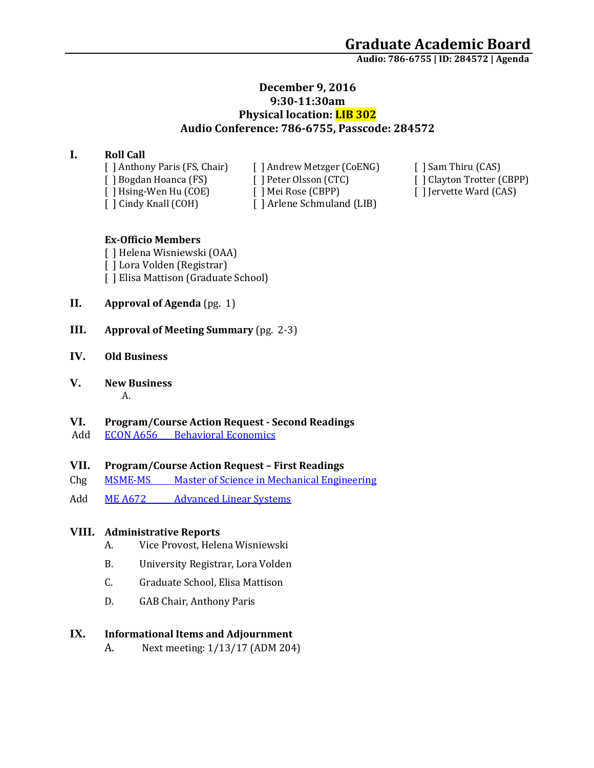**Audio: 786-6755 | ID: 284572 <sup>|</sup> Agenda**

## **December 9, 2016 9:30-11:30am Physical location: LIB 302 Audio Conference: 786-6755, Passcode: 284572**

## **I. Roll Call**

[ ] Cindy Knall (COH) [ ] Arlene Schmuland (LIB)

[ ] Anthony Paris (FS, Chair) [ ] Andrew Metzger (CoENG) [ ] Sam Thiru (CAS) [ ] Bogdan Hoanca (FS) [ ] Peter Olsson (CTC) [ ] Clayton Trotter (CBPP) [ ] Hsing-Wen Hu (COE) [ ] Mei Rose (CBPP) [ ] ] [ ] Jervette Ward (CAS) [ ] Hsing-Wen Hu (COE) [ ] Mei Rose (CBPP) [ ] Jervette Ward (CAS)

#### **Ex-Officio Members**

[ ] Helena Wisniewski (OAA) [ ] Lora Volden (Registrar) [ ] Elisa Mattison (Graduate School)

- **II. Approval of Agenda** (pg. 1)
- **III. Approval of Meeting Summary** (pg. 2-3)

#### **IV. Old Business**

**V. New Business**

# A.

## **VI. Program/Course Action Request - Second Readings**

Add ECON A656 [Behavioral Economics](https://nextcatalog.uaa.alaska.edu/courseleaf/courseleaf.cgi?page=/courseadmin/7341/index.html&step=tcadiff)

#### **VII. Program/Course Action Request – First Readings**

- Chg MSME-MS [Master of Science in Mechanical Engineering](https://nextcatalog.uaa.alaska.edu/courseleaf/courseleaf.cgi?page=/programadmin/32/index.html&step=tcadiff)
- Add ME A672 [Advanced Linear Systems](https://nextcatalog.uaa.alaska.edu/courseleaf/courseleaf.cgi?page=/courseadmin/6293/index.html&step=tcadiff)

#### **VIII. Administrative Reports**

- A. Vice Provost, Helena Wisniewski
- B. University Registrar, Lora Volden
- C. Graduate School, Elisa Mattison
- D. GAB Chair, Anthony Paris

#### **IX. Informational Items and Adjournment**

A. Next meeting: 1/13/17 (ADM 204)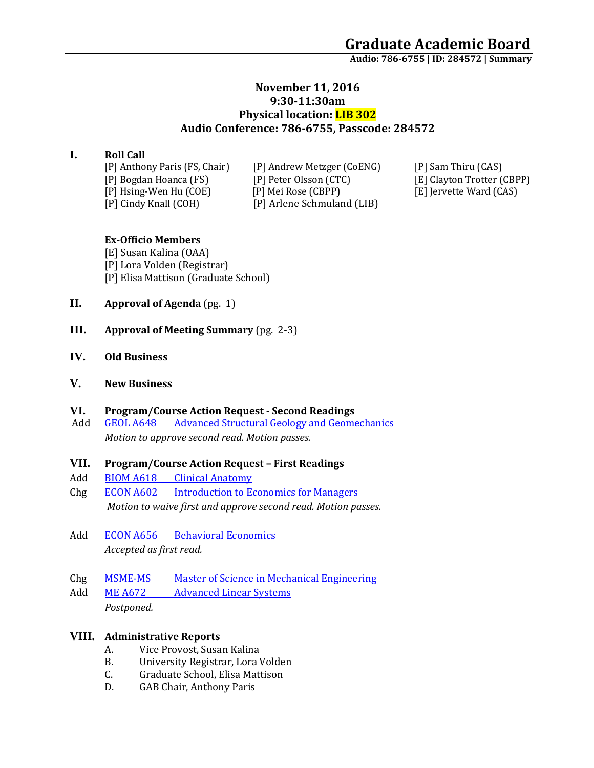**Audio: 786-6755 | ID: 284572 <sup>|</sup> Summary**

## **November 11, 2016 9:30-11:30am Physical location: LIB 302 Audio Conference: 786-6755, Passcode: 284572**

# **I. Roll Call**

[P] Cindy Knall (COH) [P] Arlene Schmuland (LIB)

[P] Anthony Paris (FS, Chair) [P] Andrew Metzger (CoENG) [P] Sam Thiru (CAS) [P] Bogdan Hoanca (FS) [P] Peter Olsson (CTC) [E] Clayton Trotter (CBPP) [P] Hsing-Wen Hu (COE) [P] Mei Rose (CBPP) [E] Jervette Ward (CAS)

## **Ex-Officio Members**

[E] Susan Kalina (OAA) [P] Lora Volden (Registrar) [P] Elisa Mattison (Graduate School)

- **II. Approval of Agenda** (pg. 1)
- **III. Approval of Meeting Summary** (pg. 2-3)
- **IV. Old Business**
- **V. New Business**

## **VI. Program/Course Action Request - Second Readings**

Add **GEOL A648** [Advanced Structural Geology and Geomechanics](https://nextcatalog.uaa.alaska.edu/courseleaf/courseleaf.cgi?page=/courseadmin/7547/index.html&step=tcadiff) *Motion to approve second read. Motion passes.* 

#### **VII. Program/Course Action Request – First Readings**

- Add BIOM A618 [Clinical Anatomy](https://nextcatalog.uaa.alaska.edu/courseleaf/courseleaf.cgi?page=/courseadmin/7638/index.html&step=tcadiff)
- Chg ECON A602 [Introduction to Economics for Managers](https://nextcatalog.uaa.alaska.edu/courseleaf/courseleaf.cgi?page=/courseadmin/2259/index.html&step=tcadiff) *Motion to waive first and approve second read. Motion passes.*
- Add ECON A656 [Behavioral Economics](https://nextcatalog.uaa.alaska.edu/courseleaf/courseleaf.cgi?page=/courseadmin/7341/index.html&step=tcadiff) *Accepted as first read.*
- Chg MSME-MS [Master of Science in Mechanical Engineering](https://nextcatalog.uaa.alaska.edu/courseleaf/courseleaf.cgi?page=/programadmin/32/index.html&step=tcadiff)
- Add ME A672 [Advanced Linear Systems](https://nextcatalog.uaa.alaska.edu/courseleaf/courseleaf.cgi?page=/courseadmin/6293/index.html&step=tcadiff) *Postponed.*

## **VIII. Administrative Reports**

- A. Vice Provost, Susan Kalina
- B. University Registrar, Lora Volden
- C. Graduate School, Elisa Mattison
- D. GAB Chair, Anthony Paris